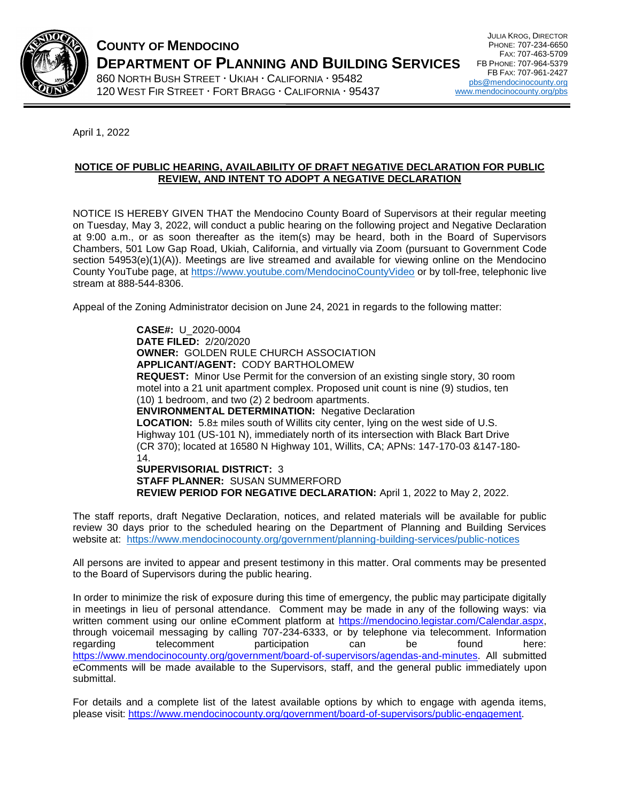

## **COUNTY OF MENDOCINO DEPARTMENT OF PLANNING AND BUILDING SERVICES**  860 NORTH BUSH STREET · UKIAH · CALIFORNIA · 95482 120 WEST FIR STREET FORT BRAGG CALIFORNIA 95437

April 1, 2022

## **NOTICE OF PUBLIC HEARING, AVAILABILITY OF DRAFT NEGATIVE DECLARATION FOR PUBLIC REVIEW, AND INTENT TO ADOPT A NEGATIVE DECLARATION**

NOTICE IS HEREBY GIVEN THAT the Mendocino County Board of Supervisors at their regular meeting on Tuesday, May 3, 2022, will conduct a public hearing on the following project and Negative Declaration at 9:00 a.m., or as soon thereafter as the item(s) may be heard, both in the Board of Supervisors Chambers, 501 Low Gap Road, Ukiah, California, and virtually via Zoom (pursuant to Government Code section 54953(e)(1)(A)). Meetings are live streamed and available for viewing online on the Mendocino County YouTube page, at<https://www.youtube.com/MendocinoCountyVideo> or by toll-free, telephonic live stream at 888-544-8306.

Appeal of the Zoning Administrator decision on June 24, 2021 in regards to the following matter:

**CASE#:** U\_2020-0004 **DATE FILED:** 2/20/2020 **OWNER:** GOLDEN RULE CHURCH ASSOCIATION **APPLICANT/AGENT:** CODY BARTHOLOMEW **REQUEST:** Minor Use Permit for the conversion of an existing single story, 30 room motel into a 21 unit apartment complex. Proposed unit count is nine (9) studios, ten (10) 1 bedroom, and two (2) 2 bedroom apartments. **ENVIRONMENTAL DETERMINATION:** Negative Declaration **LOCATION:** 5.8± miles south of Willits city center, lying on the west side of U.S. Highway 101 (US-101 N), immediately north of its intersection with Black Bart Drive (CR 370); located at 16580 N Highway 101, Willits, CA; APNs: 147-170-03 &147-180- 14. **SUPERVISORIAL DISTRICT:** 3

**STAFF PLANNER:** SUSAN SUMMERFORD **REVIEW PERIOD FOR NEGATIVE DECLARATION:** April 1, 2022 to May 2, 2022.

The staff reports, draft Negative Declaration, notices, and related materials will be available for public review 30 days prior to the scheduled hearing on the Department of Planning and Building Services website at: <https://www.mendocinocounty.org/government/planning-building-services/public-notices>

All persons are invited to appear and present testimony in this matter. Oral comments may be presented to the Board of Supervisors during the public hearing.

In order to minimize the risk of exposure during this time of emergency, the public may participate digitally in meetings in lieu of personal attendance. Comment may be made in any of the following ways: via written comment using our online eComment platform at [https://mendocino.legistar.com/Calendar.aspx,](https://mendocino.legistar.com/Calendar.aspx) through voicemail messaging by calling 707-234-6333, or by telephone via telecomment. Information regarding telecomment participation can be found here: [https://www.mendocinocounty.org/government/board-of-supervisors/agendas-and-minutes.](https://www.mendocinocounty.org/government/board-of-supervisors/agendas-and-minutes) All submitted eComments will be made available to the Supervisors, staff, and the general public immediately upon submittal.

For details and a complete list of the latest available options by which to engage with agenda items, please visit: [https://www.mendocinocounty.org/government/board-of-supervisors/public-engagement.](https://www.mendocinocounty.org/government/board-of-supervisors/public-engagement)